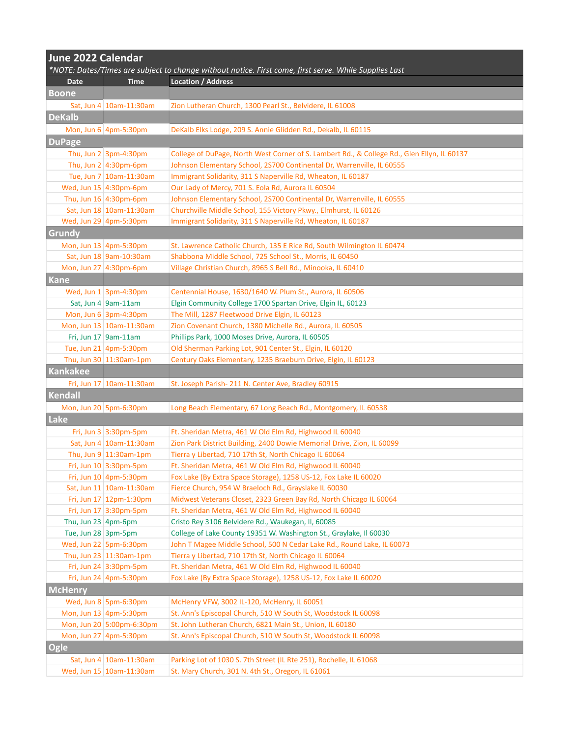| June 2022 Calendar                                                                                      |                                 |                                                                                                       |  |  |
|---------------------------------------------------------------------------------------------------------|---------------------------------|-------------------------------------------------------------------------------------------------------|--|--|
|                                                                                                         |                                 | *NOTE: Dates/Times are subject to change without notice. First come, first serve. While Supplies Last |  |  |
| Date                                                                                                    | <b>Time</b>                     | Location / Address                                                                                    |  |  |
| <b>Boone</b>                                                                                            |                                 |                                                                                                       |  |  |
|                                                                                                         | Sat, Jun 4 10am-11:30am         | Zion Lutheran Church, 1300 Pearl St., Belvidere, IL 61008                                             |  |  |
| <b>DeKalb</b>                                                                                           |                                 |                                                                                                       |  |  |
|                                                                                                         | Mon, Jun $6 \mid 4$ pm-5:30pm   | DeKalb Elks Lodge, 209 S. Annie Glidden Rd., Dekalb, IL 60115                                         |  |  |
| <b>DuPage</b>                                                                                           |                                 |                                                                                                       |  |  |
|                                                                                                         | Thu, Jun $2 \mid 3$ pm-4:30pm   | College of DuPage, North West Corner of S. Lambert Rd., & College Rd., Glen Ellyn, IL 60137           |  |  |
|                                                                                                         | Thu, Jun $2 \mid 4:30$ pm-6pm   | Johnson Elementary School, 2S700 Continental Dr, Warrenville, IL 60555                                |  |  |
|                                                                                                         | Tue, Jun 7   10am-11:30am       | Immigrant Solidarity, 311 S Naperville Rd, Wheaton, IL 60187                                          |  |  |
|                                                                                                         | Wed, Jun 15 4:30pm-6pm          | Our Lady of Mercy, 701 S. Eola Rd, Aurora IL 60504                                                    |  |  |
|                                                                                                         | Thu, Jun $16$ 4:30pm-6pm        | Johnson Elementary School, 2S700 Continental Dr, Warrenville, IL 60555                                |  |  |
|                                                                                                         | Sat, Jun 18 10am-11:30am        | Churchville Middle School, 155 Victory Pkwy., Elmhurst, IL 60126                                      |  |  |
|                                                                                                         | Wed, Jun 29 4pm-5:30pm          | Immigrant Solidarity, 311 S Naperville Rd, Wheaton, IL 60187                                          |  |  |
| Grundy                                                                                                  |                                 |                                                                                                       |  |  |
|                                                                                                         | Mon, Jun 13 4pm-5:30pm          | St. Lawrence Catholic Church, 135 E Rice Rd, South Wilmington IL 60474                                |  |  |
|                                                                                                         | Sat, Jun 18 9am-10:30am         | Shabbona Middle School, 725 School St., Morris, IL 60450                                              |  |  |
|                                                                                                         | Mon, Jun 27 4:30pm-6pm          | Village Christian Church, 8965 S Bell Rd., Minooka, IL 60410                                          |  |  |
| <b>Kane</b>                                                                                             |                                 |                                                                                                       |  |  |
|                                                                                                         | Wed, Jun $1$ 3pm-4:30pm         | Centennial House, 1630/1640 W. Plum St., Aurora, IL 60506                                             |  |  |
|                                                                                                         | Sat, Jun 4 $\sqrt{9}$ am-11am   | Elgin Community College 1700 Spartan Drive, Elgin IL, 60123                                           |  |  |
|                                                                                                         | Mon, Jun $6 \mid 3$ pm-4:30pm   | The Mill, 1287 Fleetwood Drive Elgin, IL 60123                                                        |  |  |
|                                                                                                         | Mon, Jun 13 10am-11:30am        | Zion Covenant Church, 1380 Michelle Rd., Aurora, IL 60505                                             |  |  |
|                                                                                                         | Fri, Jun $17$ 9am-11am          | Phillips Park, 1000 Moses Drive, Aurora, IL 60505                                                     |  |  |
|                                                                                                         | Tue, Jun 21 4pm-5:30pm          | Old Sherman Parking Lot, 901 Center St., Elgin, IL 60120                                              |  |  |
|                                                                                                         | Thu, Jun 30 11:30am-1pm         | Century Oaks Elementary, 1235 Braeburn Drive, Elgin, IL 60123                                         |  |  |
| <b>Kankakee</b>                                                                                         |                                 |                                                                                                       |  |  |
|                                                                                                         | Fri, Jun 17   10am-11:30am      | St. Joseph Parish-211 N. Center Ave, Bradley 60915                                                    |  |  |
| Kendall                                                                                                 |                                 |                                                                                                       |  |  |
|                                                                                                         | Mon, Jun 20 5pm-6:30pm          | Long Beach Elementary, 67 Long Beach Rd., Montgomery, IL 60538                                        |  |  |
| Lake                                                                                                    |                                 |                                                                                                       |  |  |
|                                                                                                         | Fri, Jun 3 3:30pm-5pm           | Ft. Sheridan Metra, 461 W Old Elm Rd, Highwood IL 60040                                               |  |  |
|                                                                                                         | Sat, Jun 4 10am-11:30am         | Zion Park District Building, 2400 Dowie Memorial Drive, Zion, IL 60099                                |  |  |
|                                                                                                         | Thu, Jun $9 \mid 11:30$ am-1pm  | Tierra y Libertad, 710 17th St, North Chicago IL 60064                                                |  |  |
|                                                                                                         | Fri, Jun 10 3:30pm-5pm          | Ft. Sheridan Metra, 461 W Old Elm Rd, Highwood IL 60040                                               |  |  |
|                                                                                                         | Fri, Jun $10 \vert 4$ pm-5:30pm | Fox Lake (By Extra Space Storage), 1258 US-12, Fox Lake IL 60020                                      |  |  |
|                                                                                                         | Sat, Jun 11 10am-11:30am        | Fierce Church, 954 W Braeloch Rd., Grayslake IL 60030                                                 |  |  |
|                                                                                                         | Fri, Jun 17 12pm-1:30pm         | Midwest Veterans Closet, 2323 Green Bay Rd, North Chicago IL 60064                                    |  |  |
|                                                                                                         | Fri, Jun 17 3:30pm-5pm          | Ft. Sheridan Metra, 461 W Old Elm Rd, Highwood IL 60040                                               |  |  |
| Thu, Jun 23 $ 4$ pm-6pm                                                                                 |                                 | Cristo Rey 3106 Belvidere Rd., Waukegan, Il, 60085                                                    |  |  |
| Tue, Jun 28 3pm-5pm                                                                                     |                                 | College of Lake County 19351 W. Washington St., Graylake, Il 60030                                    |  |  |
|                                                                                                         | Wed, Jun 22 5pm-6:30pm          | John T Magee Middle School, 500 N Cedar Lake Rd., Round Lake, IL 60073                                |  |  |
|                                                                                                         | Thu, Jun 23 $ 11:30$ am-1pm     | Tierra y Libertad, 710 17th St, North Chicago IL 60064                                                |  |  |
|                                                                                                         | Fri, Jun 24 3:30pm-5pm          | Ft. Sheridan Metra, 461 W Old Elm Rd, Highwood IL 60040                                               |  |  |
|                                                                                                         | Fri, Jun 24 $ 4$ pm-5:30pm      | Fox Lake (By Extra Space Storage), 1258 US-12, Fox Lake IL 60020                                      |  |  |
| <b>McHenry</b>                                                                                          |                                 |                                                                                                       |  |  |
|                                                                                                         | Wed, Jun 8 $ 5$ pm-6:30pm       | McHenry VFW, 3002 IL-120, McHenry, IL 60051                                                           |  |  |
|                                                                                                         | Mon, Jun 13 4pm-5:30pm          | St. Ann's Episcopal Church, 510 W South St, Woodstock IL 60098                                        |  |  |
|                                                                                                         | Mon, Jun 20 5:00pm-6:30pm       | St. John Lutheran Church, 6821 Main St., Union, IL 60180                                              |  |  |
| Mon, Jun 27 4pm-5:30pm<br>St. Ann's Episcopal Church, 510 W South St, Woodstock IL 60098<br><b>Ogle</b> |                                 |                                                                                                       |  |  |
|                                                                                                         | Sat, Jun 4 10am-11:30am         | Parking Lot of 1030 S. 7th Street (IL Rte 251), Rochelle, IL 61068                                    |  |  |
|                                                                                                         | Wed, Jun 15 10am-11:30am        | St. Mary Church, 301 N. 4th St., Oregon, IL 61061                                                     |  |  |